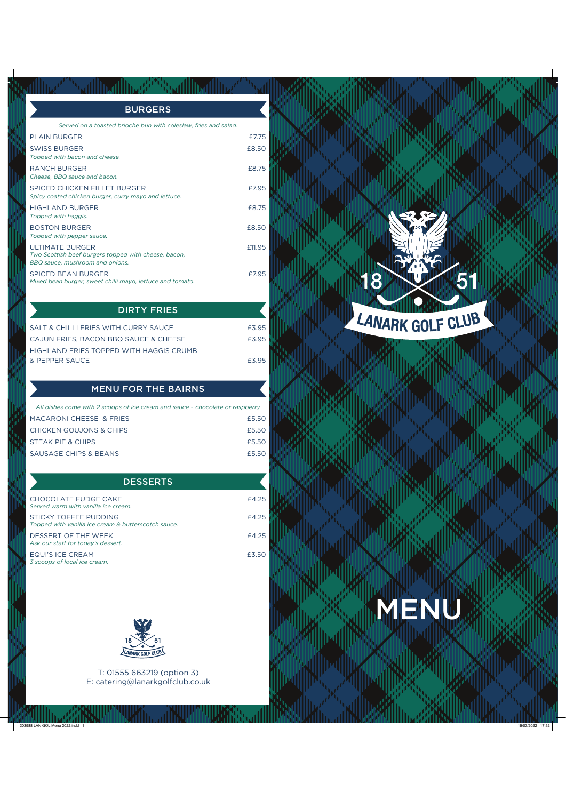| <b>BURGERS</b>                                                                                                    |       |
|-------------------------------------------------------------------------------------------------------------------|-------|
| Served on a toasted brioche bun with coleslaw, fries and salad.                                                   |       |
| <b>PLAIN BURGER</b>                                                                                               | £775  |
| <b>SWISS BURGER</b><br>Topped with bacon and cheese.                                                              | £8.50 |
| <b>RANCH BURGER</b><br>Cheese. BBQ sauce and bacon.                                                               | £8.75 |
| SPICED CHICKEN FILLET BURGER<br>Spicy coated chicken burger, curry mayo and lettuce.                              | £795  |
| <b>HIGHLAND BURGER</b><br>Topped with haggis.                                                                     | £875  |
| <b>BOSTON BURGER</b><br>Topped with pepper sauce.                                                                 | £8.50 |
| <b>ULTIMATE BURGER</b><br>Two Scottish beef burgers topped with cheese, bacon,<br>BBQ sauce, mushroom and onions. | £1195 |
| <b>SPICED BEAN BURGER</b><br>Mixed bean burger, sweet chilli mayo, lettuce and tomato.                            | £795  |

| SALT & CHILLI FRIES WITH CURRY SAUCE    | £395 |
|-----------------------------------------|------|
| CAJUN FRIES, BACON BBQ SAUCE & CHEESE   | £395 |
| HIGHLAND FRIES TOPPED WITH HAGGIS CRUMB |      |
| & PEPPER SAUCE                          | £395 |
|                                         |      |

DIRTY FRIES

## MENU FOR THE BAIRNS

| All dishes come with 2 scoops of ice cream and sauce - chocolate or raspberry |       |
|-------------------------------------------------------------------------------|-------|
| MACARONI CHEESE & FRIES                                                       | £5.50 |
| CHICKEN GOUJONS & CHIPS                                                       | £5.50 |
| STEAK PIE & CHIPS                                                             | £5.50 |
| SAUSAGE CHIPS & BEANS                                                         | £5.50 |
|                                                                               |       |

## **DESSERTS**

| CHOCOL ATE FUDGE CAKE<br>Served warm with vanilla ice cream.                 | £4.25 |
|------------------------------------------------------------------------------|-------|
| STICKY TOFFFF PUDDING<br>Topped with vanilla ice cream & butterscotch sauce. | £4.25 |
| DESSERT OF THE WEEK<br>Ask our staff for today's dessert.                    | £4.25 |
| <b>EQUI'S ICE CREAM</b><br>3 scoops of local ice cream.                      | £3.50 |



T: 01555 663219 (option 3) E: catering@lanarkgolfclub.co.uk